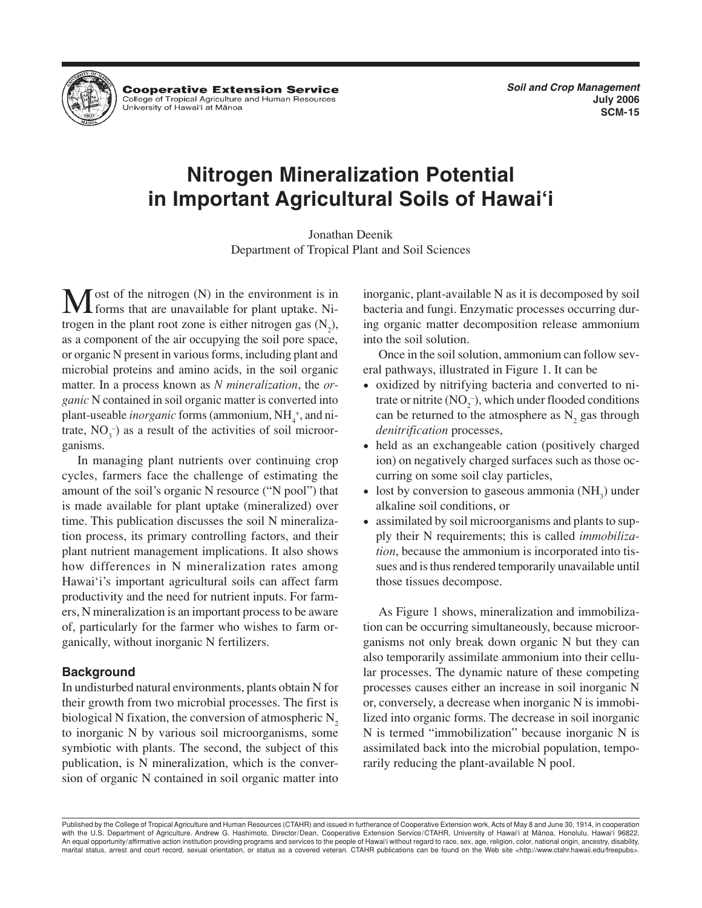

**Cooperative Extension Service** College of Tropical Agriculture and Human Resources University of Hawai'i at Mānoa

**Soil and Crop Management July 2006 SCM-15**

# **Nitrogen Mineralization Potential in Important Agricultural Soils of Hawai'i**

Jonathan Deenik Department of Tropical Plant and Soil Sciences

ost of the nitrogen  $(N)$  in the environment is in forms that are unavailable for plant uptake. Nitrogen in the plant root zone is either nitrogen gas  $(N_2)$ , as a component of the air occupying the soil pore space, or organic N present in various forms, including plant and microbial proteins and amino acids, in the soil organic matter. In a process known as *N mineralization*, the *organic* N contained in soil organic matter is converted into plant-useable *inorganic* forms (ammonium, NH<sub>4</sub><sup>+</sup>, and nitrate,  $NO_3^-$ ) as a result of the activities of soil microorganisms.

In managing plant nutrients over continuing crop cycles, farmers face the challenge of estimating the amount of the soil's organic N resource ("N pool") that is made available for plant uptake (mineralized) over time. This publication discusses the soil N mineralization process, its primary controlling factors, and their plant nutrient management implications. It also shows how differences in N mineralization rates among Hawai'i's important agricultural soils can affect farm productivity and the need for nutrient inputs. For farmers, N mineralization is an important process to be aware of, particularly for the farmer who wishes to farm organically, without inorganic N fertilizers.

## **Background**

In undisturbed natural environments, plants obtain N for their growth from two microbial processes. The first is biological N fixation, the conversion of atmospheric  $N<sub>2</sub>$ to inorganic N by various soil microorganisms, some symbiotic with plants. The second, the subject of this publication, is N mineralization, which is the conversion of organic N contained in soil organic matter into inorganic, plant-available N as it is decomposed by soil bacteria and fungi. Enzymatic processes occurring during organic matter decomposition release ammonium into the soil solution.

Once in the soil solution, ammonium can follow several pathways, illustrated in Figure 1. It can be

- oxidized by nitrifying bacteria and converted to nitrate or nitrite  $(NO<sub>2</sub><sup>-</sup>)$ , which under flooded conditions can be returned to the atmosphere as  $N$ , gas through *denitrification* processes,
- held as an exchangeable cation (positively charged ion) on negatively charged surfaces such as those occurring on some soil clay particles,
- lost by conversion to gaseous ammonia  $(NH_3)$  under alkaline soil conditions, or
- assimilated by soil microorganisms and plants to supply their N requirements; this is called *immobilization*, because the ammonium is incorporated into tissues and is thus rendered temporarily unavailable until those tissues decompose.

As Figure 1 shows, mineralization and immobilization can be occurring simultaneously, because microorganisms not only break down organic N but they can also temporarily assimilate ammonium into their cellular processes. The dynamic nature of these competing processes causes either an increase in soil inorganic N or, conversely, a decrease when inorganic N is immobilized into organic forms. The decrease in soil inorganic N is termed "immobilization" because inorganic N is assimilated back into the microbial population, temporarily reducing the plant-available N pool.

Published by the College of Tropical Agriculture and Human Resources (CTAHR) and issued in furtherance of Cooperative Extension work, Acts of May 8 and June 30, 1914, in cooperation with the U.S. Department of Agriculture. Andrew G. Hashimoto, Director/Dean, Cooperative Extension Service/CTAHR, University of Hawai'i at Manoa, Honolulu, Hawai'i 96822. An equal opportunity/affirmative action institution providing programs and services to the people of Hawai'i without regard to race, sex, age, religion, color, national origin, ancestry, disability, marital status, arrest and court record, sexual orientation, or status as a covered veteran. CTAHR publications can be found on the Web site <http://www.ctahr.hawaii.edu/freepubs>.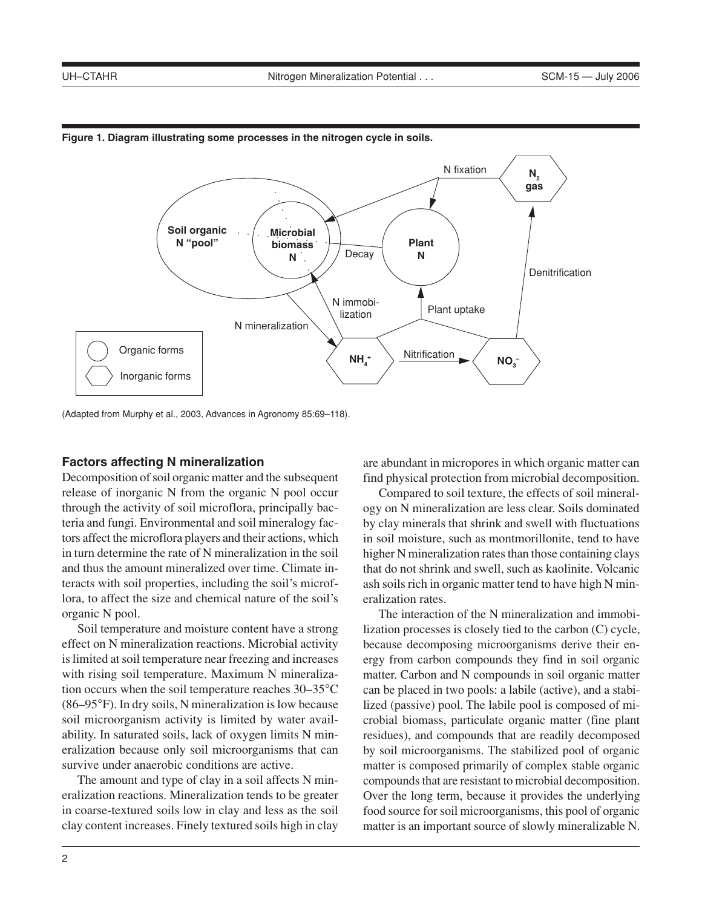

#### **Figure 1. Diagram illustrating some processes in the nitrogen cycle in soils.**

(Adapted from Murphy et al., 2003, Advances in Agronomy 85:69–118).

#### **Factors affecting N mineralization**

Decomposition of soil organic matter and the subsequent release of inorganic N from the organic N pool occur through the activity of soil microflora, principally bacteria and fungi. Environmental and soil mineralogy factors affect the microflora players and their actions, which in turn determine the rate of N mineralization in the soil and thus the amount mineralized over time. Climate interacts with soil properties, including the soil's microflora, to affect the size and chemical nature of the soil's organic N pool.

Soil temperature and moisture content have a strong effect on N mineralization reactions. Microbial activity is limited at soil temperature near freezing and increases with rising soil temperature. Maximum N mineralization occurs when the soil temperature reaches 30–35°C (86–95°F). In dry soils, N mineralization is low because soil microorganism activity is limited by water availability. In saturated soils, lack of oxygen limits N mineralization because only soil microorganisms that can survive under anaerobic conditions are active.

The amount and type of clay in a soil affects N mineralization reactions. Mineralization tends to be greater in coarse-textured soils low in clay and less as the soil clay content increases. Finely textured soils high in clay are abundant in micropores in which organic matter can find physical protection from microbial decomposition.

Compared to soil texture, the effects of soil mineralogy on N mineralization are less clear. Soils dominated by clay minerals that shrink and swell with fluctuations in soil moisture, such as montmorillonite, tend to have higher N mineralization rates than those containing clays that do not shrink and swell, such as kaolinite. Volcanic ash soils rich in organic matter tend to have high N mineralization rates.

The interaction of the N mineralization and immobilization processes is closely tied to the carbon (C) cycle, because decomposing microorganisms derive their energy from carbon compounds they find in soil organic matter. Carbon and N compounds in soil organic matter can be placed in two pools: a labile (active), and a stabilized (passive) pool. The labile pool is composed of microbial biomass, particulate organic matter (fine plant residues), and compounds that are readily decomposed by soil microorganisms. The stabilized pool of organic matter is composed primarily of complex stable organic compounds that are resistant to microbial decomposition. Over the long term, because it provides the underlying food source for soil microorganisms, this pool of organic matter is an important source of slowly mineralizable N.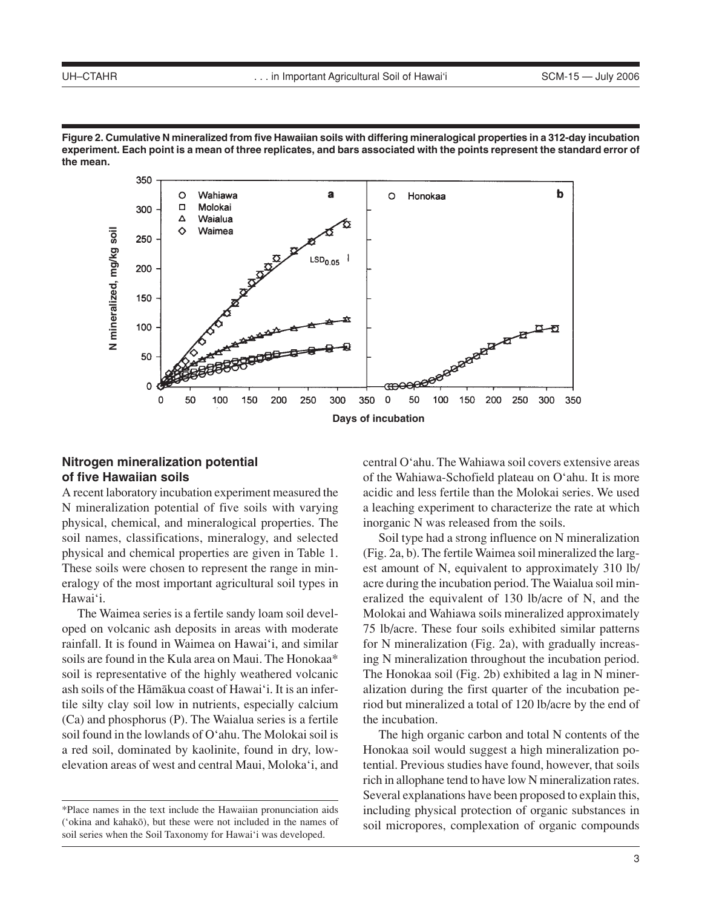



## **Nitrogen mineralization potential of five Hawaiian soils**

A recent laboratory incubation experiment measured the N mineralization potential of five soils with varying physical, chemical, and mineralogical properties. The soil names, classifications, mineralogy, and selected physical and chemical properties are given in Table 1. These soils were chosen to represent the range in mineralogy of the most important agricultural soil types in Hawai'i.

The Waimea series is a fertile sandy loam soil developed on volcanic ash deposits in areas with moderate rainfall. It is found in Waimea on Hawai'i, and similar soils are found in the Kula area on Maui. The Honokaa\* soil is representative of the highly weathered volcanic ash soils of the Hämäkua coast of Hawai'i. It is an infertile silty clay soil low in nutrients, especially calcium (Ca) and phosphorus (P). The Waialua series is a fertile soil found in the lowlands of O'ahu. The Molokai soil is a red soil, dominated by kaolinite, found in dry, lowelevation areas of west and central Maui, Moloka'i, and central O'ahu. The Wahiawa soil covers extensive areas of the Wahiawa-Schofield plateau on O'ahu. It is more acidic and less fertile than the Molokai series. We used a leaching experiment to characterize the rate at which inorganic N was released from the soils.

Soil type had a strong influence on N mineralization (Fig. 2a, b). The fertile Waimea soil mineralized the largest amount of N, equivalent to approximately 310 lb/ acre during the incubation period. The Waialua soil mineralized the equivalent of 130 lb/acre of N, and the Molokai and Wahiawa soils mineralized approximately 75 lb/acre. These four soils exhibited similar patterns for N mineralization (Fig. 2a), with gradually increasing N mineralization throughout the incubation period. The Honokaa soil (Fig. 2b) exhibited a lag in N mineralization during the first quarter of the incubation period but mineralized a total of 120 lb/acre by the end of the incubation.

The high organic carbon and total N contents of the Honokaa soil would suggest a high mineralization potential. Previous studies have found, however, that soils rich in allophane tend to have low N mineralization rates. Several explanations have been proposed to explain this, including physical protection of organic substances in soil micropores, complexation of organic compounds

<sup>\*</sup>Place names in the text include the Hawaiian pronunciation aids ('okina and kahakö), but these were not included in the names of soil series when the Soil Taxonomy for Hawai'i was developed.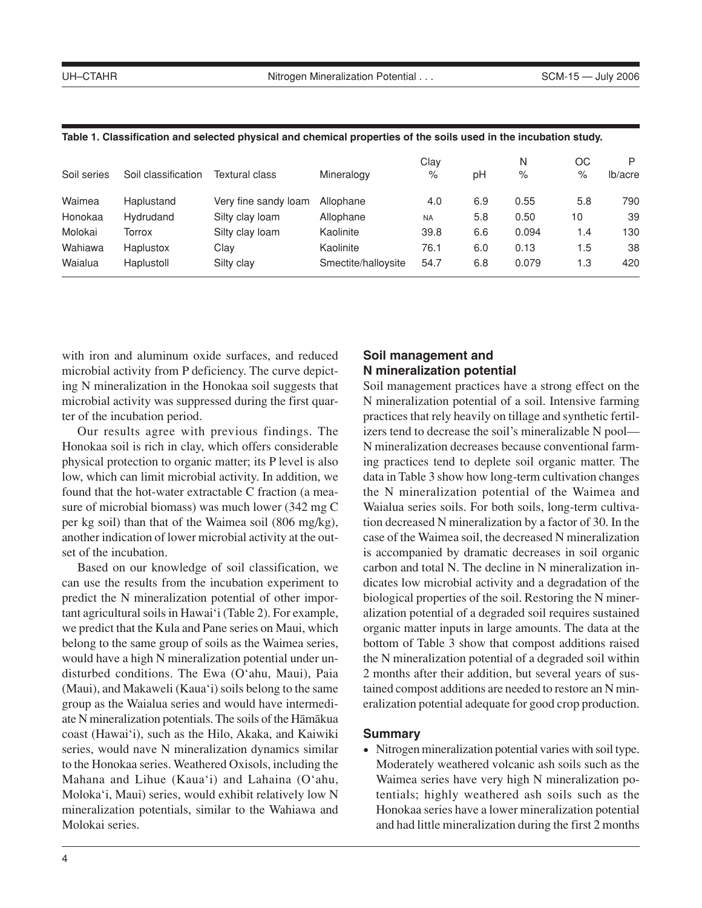| Soil series | Soil classification | Textural class       | Mineralogy          | Clav<br>% | рH  | N<br>% | OС<br>% | P<br>lb/acre |
|-------------|---------------------|----------------------|---------------------|-----------|-----|--------|---------|--------------|
| Waimea      | Haplustand          | Very fine sandy loam | Allophane           | 4.0       | 6.9 | 0.55   | 5.8     | 790          |
| Honokaa     | Hydrudand           | Silty clay loam      | Allophane           | <b>NA</b> | 5.8 | 0.50   | 10      | 39           |
| Molokai     | Torrox              | Silty clay loam      | Kaolinite           | 39.8      | 6.6 | 0.094  | 1.4     | 130          |
| Wahiawa     | Haplustox           | Clav                 | Kaolinite           | 76.1      | 6.0 | 0.13   | 1.5     | 38           |
| Waialua     | Haplustoll          | Silty clay           | Smectite/halloysite | 54.7      | 6.8 | 0.079  | 1.3     | 420          |

#### **Table 1. Classification and selected physical and chemical properties of the soils used in the incubation study.**

with iron and aluminum oxide surfaces, and reduced microbial activity from P deficiency. The curve depicting N mineralization in the Honokaa soil suggests that microbial activity was suppressed during the first quarter of the incubation period.

Our results agree with previous findings. The Honokaa soil is rich in clay, which offers considerable physical protection to organic matter; its P level is also low, which can limit microbial activity. In addition, we found that the hot-water extractable C fraction (a measure of microbial biomass) was much lower (342 mg C per kg soil) than that of the Waimea soil (806 mg/kg), another indication of lower microbial activity at the outset of the incubation.

Based on our knowledge of soil classification, we can use the results from the incubation experiment to predict the N mineralization potential of other important agricultural soils in Hawai'i (Table 2). For example, we predict that the Kula and Pane series on Maui, which belong to the same group of soils as the Waimea series, would have a high N mineralization potential under undisturbed conditions. The Ewa (O'ahu, Maui), Paia (Maui), and Makaweli (Kaua'i) soils belong to the same group as the Waialua series and would have intermediate N mineralization potentials. The soils of the Hämäkua coast (Hawai'i), such as the Hilo, Akaka, and Kaiwiki series, would nave N mineralization dynamics similar to the Honokaa series. Weathered Oxisols, including the Mahana and Lihue (Kaua'i) and Lahaina (O'ahu, Moloka'i, Maui) series, would exhibit relatively low N mineralization potentials, similar to the Wahiawa and Molokai series.

# **Soil management and N mineralization potential**

Soil management practices have a strong effect on the N mineralization potential of a soil. Intensive farming practices that rely heavily on tillage and synthetic fertilizers tend to decrease the soil's mineralizable N pool— N mineralization decreases because conventional farming practices tend to deplete soil organic matter. The data in Table 3 show how long-term cultivation changes the N mineralization potential of the Waimea and Waialua series soils. For both soils, long-term cultivation decreased N mineralization by a factor of 30. In the case of the Waimea soil, the decreased N mineralization is accompanied by dramatic decreases in soil organic carbon and total N. The decline in N mineralization indicates low microbial activity and a degradation of the biological properties of the soil. Restoring the N mineralization potential of a degraded soil requires sustained organic matter inputs in large amounts. The data at the bottom of Table 3 show that compost additions raised the N mineralization potential of a degraded soil within 2 months after their addition, but several years of sustained compost additions are needed to restore an N mineralization potential adequate for good crop production.

## **Summary**

• Nitrogen mineralization potential varies with soil type. Moderately weathered volcanic ash soils such as the Waimea series have very high N mineralization potentials; highly weathered ash soils such as the Honokaa series have a lower mineralization potential and had little mineralization during the first 2 months